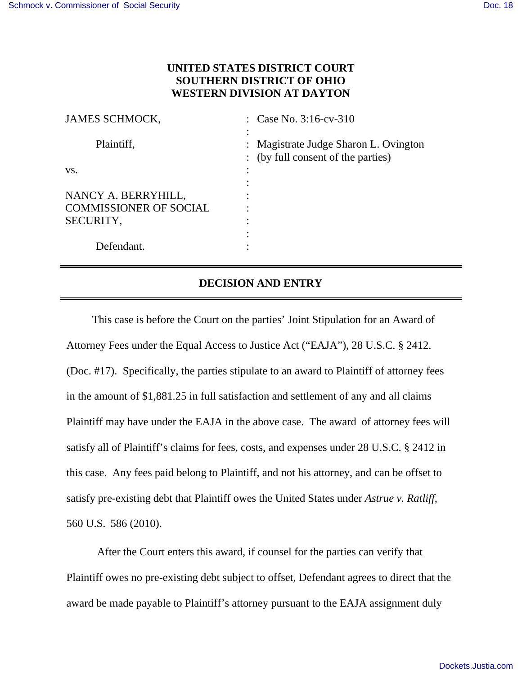## **UNITED STATES DISTRICT COURT SOUTHERN DISTRICT OF OHIO WESTERN DIVISION AT DAYTON**

| : Case No. $3:16$ -cv- $310$                                                |
|-----------------------------------------------------------------------------|
| : Magistrate Judge Sharon L. Ovington<br>: (by full consent of the parties) |
|                                                                             |
|                                                                             |
|                                                                             |
|                                                                             |
|                                                                             |
|                                                                             |
|                                                                             |
|                                                                             |

## **DECISION AND ENTRY**

This case is before the Court on the parties' Joint Stipulation for an Award of Attorney Fees under the Equal Access to Justice Act ("EAJA"), 28 U.S.C. § 2412. (Doc. #17). Specifically, the parties stipulate to an award to Plaintiff of attorney fees in the amount of \$1,881.25 in full satisfaction and settlement of any and all claims Plaintiff may have under the EAJA in the above case. The award of attorney fees will satisfy all of Plaintiff's claims for fees, costs, and expenses under 28 U.S.C. § 2412 in this case. Any fees paid belong to Plaintiff, and not his attorney, and can be offset to satisfy pre-existing debt that Plaintiff owes the United States under *Astrue v. Ratliff*, 560 U.S. 586 (2010).

After the Court enters this award, if counsel for the parties can verify that Plaintiff owes no pre-existing debt subject to offset, Defendant agrees to direct that the award be made payable to Plaintiff's attorney pursuant to the EAJA assignment duly